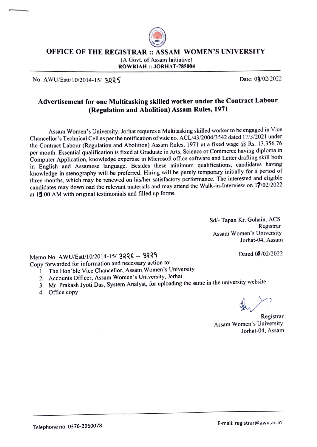

OFFICE OF THE REGISTRAR :: ASSAM WOMEN'S UNIVERSITY

(A Govt. of Assam Initiative) ROWRIAH :: JORHAT-785004

No. AWU/Estt/10/2014-15/ 3225

### Advertisement for one Multitasking skilled worker under the Contract Labour (Regulation and Abolition) Assam Rules, 1971

Assam Women's University, Jorhat requires a Multitasking skilled worker to be engaged in Vice Chancellor's Technical Cell as per the notification of vide no. ACL/43/2004/3542 dated 17/3/2021 under the Contract Labour (Rcgulation and Abolition) Assam Rules, 1971 at a fixed wage @ Rs. 13,356.76 per month. Esscntial qualification is fixcd at Graduatc in Arts, Science or Commercc having diploma in Computer Application, knowledge expertise in Microsoft office software and Letter drafting skill both in English and Assamese language. Besides these minimum qualifications, candidates having knowledge in stenography will be preferned. Hiring will be purely temporary initially for a period of three months, which may be renewed on his/her satisfactory performance. The interested and eligible candidates may download the relevant materials and may attend the Walk-in-Interview on 19/02/2022 at 11:00 AM with original testimonials and filled up forms.

> Sd/- Tapan Kr. Gohain, ACS Registrar Assam Women's University Jorhat-04, Assam

> > Dated 08/02/2022

Memo No. AWU/Estt/10/2014-15/ 3226 - 3229

- Copy forwarded for information and necessary action to:
	- 1. The Hon'ble Vice Chancellor, Assam Women's University
	- 2. Accounts Officer, Assam Women's University, Jorhat
	- 3. Mr. Prakash Jyoti Das, System Analyst, for uploading the same in the university website
	- 4. Office copy

Registrar Assam Women's University Jorhat-04, Assam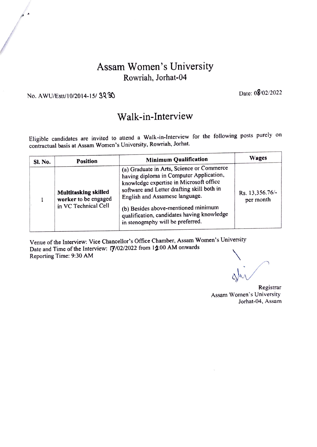### Assam Women's University Rowriah, Jorhat-04

## No. AWU/Estt/10/2014-15/ 32 30 Date: 08/02/2022

 $\overline{a}$ 

## Walk-in-Interview

Eligible candidates are invited to atlend a Walk-in-Interview for the following posts purely on contractual basis at Assam Women's University, Rowriah, Jorhat.

| Sl. No. | <b>Position</b>                                                             | <b>Minimum Qualification</b>                                                                                                                                                                                                                                                                                                              | <b>Wages</b>                 |
|---------|-----------------------------------------------------------------------------|-------------------------------------------------------------------------------------------------------------------------------------------------------------------------------------------------------------------------------------------------------------------------------------------------------------------------------------------|------------------------------|
|         | <b>Multitasking skilled</b><br>worker to be engaged<br>in VC Technical Cell | (a) Graduate in Arts, Science or Commerce<br>having diploma in Computer Application,<br>knowledge expertise in Microsoft office<br>software and Letter drafting skill both in<br>English and Assamese language.<br>(b) Besides above-mentioned minimum<br>qualification, candidates having knowledge<br>in stenography will be preferred. | Rs. 13,356.76/-<br>per month |

Venue of the Interview: Vice Chancellor's Office Chamber, Assam Women's University Date and Time of the Interview: 17/02/2022 from 14:00 AM onwards Reporting Time: 9:30 AM

Registrar Assam Women's University Jorhat-04, Assam